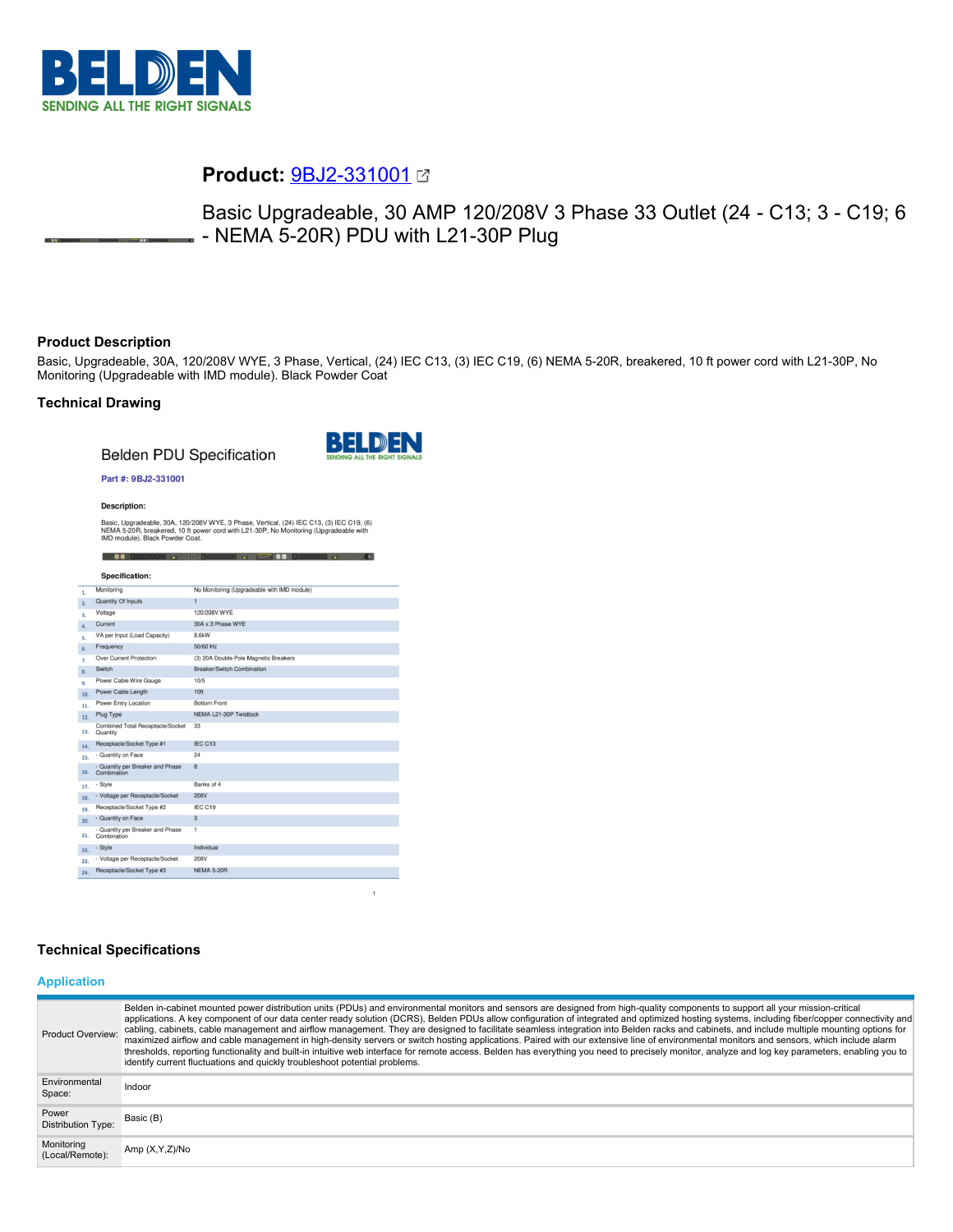

# **Product:** [9BJ2-331001](https://catalog.belden.com/index.cfm?event=pd&p=PF_9BJ2331001&tab=downloads)

Basic Upgradeable, 30 AMP 120/208V 3 Phase 33 Outlet (24 - C13; 3 - C19; 6 - NEMA 5-20R) PDU with L21-30P Plug

# **Product Description**

Basic, Upgradeable, 30A, 120/208V WYE, 3 Phase, Vertical, (24) IEC C13, (3) IEC C19, (6) NEMA 5-20R, breakered, 10 ft power cord with L21-30P, No Monitoring (Upgradeable with IMD module). Black Powder Coat

# **Technical Drawing**

**Belden PDU Specification** 



 $\mathbf{1}$ 

#### Part #: 9BJ2-331001

**Description:** 

Basic, Upgradeable, 30A, 120/208V WYE, 3 Phase, Vertical, (24) IEC C13, (3) IEC C19, (6)<br>NEMA 5-20R, breakered, 10 ft power cord with L21-30P, No Monitoring (Upgradeable with<br>IMD module). Black Powder Coat.

| <b>Specification:</b>                                  |                                             |
|--------------------------------------------------------|---------------------------------------------|
| Monitoring                                             | No Monitoring (Upgradeable with IMD module) |
| Quantity Of Inputs                                     | $\mathbf{1}$                                |
| Voltage                                                | 120/208V WYE                                |
| Current                                                | 30A x 3 Phase WYE                           |
| VA per Input (Load Capacity)                           | 8.6kW                                       |
| Frequency                                              | 50/60 Hz                                    |
| Over Current Protection                                | (3) 20A Double Pole Magnetic Breakers       |
| Switch                                                 | Breaker/Switch Combination                  |
| Power Cable Wire Gauge                                 | 10/5                                        |
| Power Cable Length<br>10.                              | 10ft                                        |
| Power Entry Location<br>11.                            | <b>Bottom Front</b>                         |
| Plug Type<br>12.                                       | NEMA L21-30P Twistlock                      |
| Combined Total Receptacle/Socket<br>13.<br>Quantity    | 33                                          |
| Receptacle/Socket Type #1<br>14.                       | IEC C13                                     |
| - Quantity on Face<br>15.                              | 24                                          |
| - Quantity per Breaker and Phase<br>16.<br>Combination | $\mathbf{a}$                                |
| - Style<br>17.                                         | Banks of 4                                  |
| - Voltage per Receptacle/Socket<br>18.                 | <b>208V</b>                                 |
| Receptacle/Socket Type #2<br>19.                       | IEC C19                                     |
| - Quantity on Face<br>20.                              | $\overline{3}$                              |
| - Quantity per Breaker and Phase<br>21.<br>Combination | 1                                           |
| - Style<br>22.                                         | Individual                                  |
| - Voltage per Receptacle/Socket<br>23.                 | 208V                                        |
| Receptacle/Socket Type #3<br>24.                       | <b>NEMA 5-20R</b>                           |

# **Technical Specifications**

#### **Application**

| Product Overview:                  | Belden in-cabinet mounted power distribution units (PDUs) and environmental monitors and sensors are designed from high-quality components to support all your mission-critical<br>applications. A key component of our data center ready solution (DCRS), Belden PDUs allow configuration of integrated and optimized hosting systems, including fiber/copper connectivity and<br>cabling, cabinets, cable management and airflow management. They are designed to facilitate seamless integration into Belden racks and cabinets, and include multiple mounting options for<br>maximized airflow and cable management in high-density servers or switch hosting applications. Paired with our extensive line of environmental monitors and sensors, which include alarm<br>thresholds, reporting functionality and built-in intuitive web interface for remote access. Belden has everything you need to precisely monitor, analyze and log key parameters, enabling you to<br>identify current fluctuations and quickly troubleshoot potential problems. |
|------------------------------------|-------------------------------------------------------------------------------------------------------------------------------------------------------------------------------------------------------------------------------------------------------------------------------------------------------------------------------------------------------------------------------------------------------------------------------------------------------------------------------------------------------------------------------------------------------------------------------------------------------------------------------------------------------------------------------------------------------------------------------------------------------------------------------------------------------------------------------------------------------------------------------------------------------------------------------------------------------------------------------------------------------------------------------------------------------------|
| Environmental<br>Space:            | Indoor                                                                                                                                                                                                                                                                                                                                                                                                                                                                                                                                                                                                                                                                                                                                                                                                                                                                                                                                                                                                                                                      |
| Power<br><b>Distribution Type:</b> | Basic (B)                                                                                                                                                                                                                                                                                                                                                                                                                                                                                                                                                                                                                                                                                                                                                                                                                                                                                                                                                                                                                                                   |
| Monitoring<br>(Local/Remote):      | Amp $(X, Y, Z)/N$ o                                                                                                                                                                                                                                                                                                                                                                                                                                                                                                                                                                                                                                                                                                                                                                                                                                                                                                                                                                                                                                         |